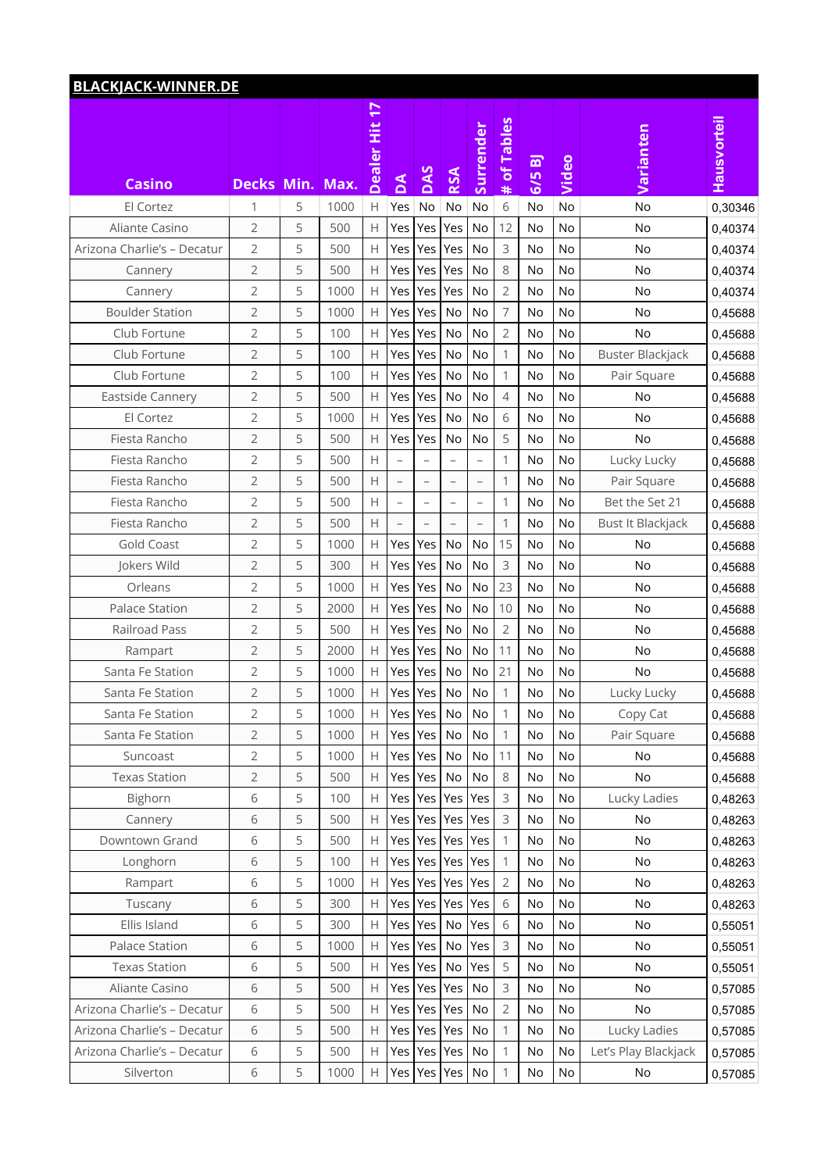| <b>BLACKJACK-WINNER.DE</b>  |                |   |      |               |                          |                          |                          |                          |                |           |           |                          |                    |
|-----------------------------|----------------|---|------|---------------|--------------------------|--------------------------|--------------------------|--------------------------|----------------|-----------|-----------|--------------------------|--------------------|
| <b>Casino</b>               | Decks Min.     |   | Max. | Dealer Hit 17 | $\mathbf{A}$             | DAS                      | RSA                      | Surrender                | # of Tables    | 6/5B      | Video     | Varianten                | <b>Hausvorteil</b> |
| El Cortez                   | 1              | 5 | 1000 | Н             | Yes                      | No                       | No                       | No                       | 6              | No        | No        | <b>No</b>                | 0,30346            |
| Aliante Casino              | $\overline{2}$ | 5 | 500  | H             | Yes                      | Yes                      | Yes                      | No                       | 12             | <b>No</b> | <b>No</b> | No                       | 0,40374            |
| Arizona Charlie's - Decatur | 2              | 5 | 500  | H             | Yes                      | Yes                      | Yes                      | No                       | 3              | No        | <b>No</b> | No                       | 0,40374            |
| Cannery                     | $\overline{2}$ | 5 | 500  | H             | Yes                      | Yes                      | Yes                      | No                       | 8              | <b>No</b> | <b>No</b> | No                       | 0,40374            |
| Cannery                     | 2              | 5 | 1000 | H             | Yes                      | Yes                      | Yes                      | No                       | $\overline{2}$ | No        | No        | No                       | 0,40374            |
| <b>Boulder Station</b>      | 2              | 5 | 1000 | H             | Yes                      | Yes                      | No                       | No                       | 7              | No        | No        | No                       | 0,45688            |
| Club Fortune                | 2              | 5 | 100  | H             | Yes                      | Yes                      | No                       | No                       | $\overline{2}$ | No        | No        | <b>No</b>                | 0,45688            |
| Club Fortune                | $\overline{2}$ | 5 | 100  | H             | Yes                      | Yes                      | No                       | No                       | 1              | No        | No        | <b>Buster Blackjack</b>  | 0,45688            |
| Club Fortune                | 2              | 5 | 100  | $\mathsf{H}$  | Yes                      | Yes                      | No                       | No                       | 1              | No        | No        | Pair Square              | 0,45688            |
| Eastside Cannery            | $\overline{2}$ | 5 | 500  | $\mathsf{H}$  | Yes                      | Yes                      | No                       | No                       | $\overline{4}$ | No        | No        | No                       | 0,45688            |
| El Cortez                   | $\overline{2}$ | 5 | 1000 | H             | Yes                      | Yes                      | No                       | No                       | 6              | No        | No        | <b>No</b>                | 0,45688            |
| Fiesta Rancho               | $\overline{2}$ | 5 | 500  | $\mathsf{H}$  | Yes                      | Yes                      | No                       | No                       | 5              | <b>No</b> | No        | No                       | 0,45688            |
| Fiesta Rancho               | $\overline{2}$ | 5 | 500  | $\mathsf{H}$  | $\equiv$                 |                          | $\overline{\phantom{0}}$ | $\overline{a}$           | 1              | No        | No        | Lucky Lucky              | 0,45688            |
| Fiesta Rancho               | 2              | 5 | 500  | H             | $\overline{\phantom{0}}$ | $\overline{\phantom{0}}$ | $\overline{\phantom{a}}$ | $\overline{\phantom{a}}$ | 1              | No        | No        | Pair Square              | 0,45688            |
| Fiesta Rancho               | 2              | 5 | 500  | $\mathsf{H}$  | $\qquad \qquad -$        | $\qquad \qquad -$        | $\overline{\phantom{0}}$ | $\qquad \qquad -$        | $\mathbf{1}$   | <b>No</b> | No        | Bet the Set 21           | 0,45688            |
| Fiesta Rancho               | 2              | 5 | 500  | H             | $\overline{\phantom{0}}$ | $\overline{\phantom{0}}$ | $\qquad \qquad -$        | $\overline{\phantom{0}}$ | $\mathbf{1}$   | No        | No        | <b>Bust It Blackjack</b> | 0,45688            |
| <b>Gold Coast</b>           | $\overline{2}$ | 5 | 1000 | $\mathsf{H}$  | Yes                      | Yes                      | No                       | No                       | 15             | <b>No</b> | <b>No</b> | No                       | 0,45688            |
| Jokers Wild                 | $\overline{2}$ | 5 | 300  | H             | Yes                      | Yes                      | No                       | No                       | 3              | No        | No        | No                       | 0,45688            |
| Orleans                     | $\overline{2}$ | 5 | 1000 | H             | Yes                      | Yes                      | No                       | No                       | 23             | <b>No</b> | <b>No</b> | <b>No</b>                | 0,45688            |
| Palace Station              | 2              | 5 | 2000 | H             | Yes                      | Yes                      | No                       | No                       | 10             | No        | No        | No                       | 0,45688            |
| Railroad Pass               | 2              | 5 | 500  | $\mathsf{H}$  | Yes                      | Yes                      | No                       | No                       | $\overline{2}$ | <b>No</b> | No        | No                       | 0,45688            |
| Rampart                     | 2              | 5 | 2000 | Н             | Yes                      | Yes                      | No                       | No                       | 11             | No        | No        | No                       | 0,45688            |
| Santa Fe Station            | 2              | 5 | 1000 | H             | Yes                      | Yes                      | No                       | No                       | 21             | No        | No        | No                       | 0,45688            |
| Santa Fe Station            | 2              | 5 | 1000 | Н             | Yes                      | Yes                      | No                       | No                       | 1              | No        | No        | Lucky Lucky              | 0,45688            |
| Santa Fe Station            | $\overline{2}$ | 5 | 1000 | H             |                          | Yes   Yes                | No                       | No                       | 1              | No        | No        | Copy Cat                 | 0,45688            |
| Santa Fe Station            | 2              | 5 | 1000 | H             |                          | Yes   Yes                | No                       | No                       | 1              | No        | No        | Pair Square              | 0,45688            |
| Suncoast                    | $\overline{2}$ | 5 | 1000 | H             |                          | Yes   Yes                | No                       | No                       | 11             | No        | No        | No                       | 0,45688            |
| <b>Texas Station</b>        | $\overline{2}$ | 5 | 500  | H             |                          | Yes   Yes                | No                       | No                       | 8              | No        | No        | No                       | 0,45688            |
| Bighorn                     | 6              | 5 | 100  | Н             |                          | Yes   Yes   Yes          |                          | Yes                      | 3              | No        | No        | Lucky Ladies             | 0,48263            |
| Cannery                     | 6              | 5 | 500  | H             |                          | Yes   Yes   Yes          |                          | Yes                      | 3              | No        | No        | No                       | 0,48263            |
| Downtown Grand              | 6              | 5 | 500  | Н             |                          | Yes   Yes   Yes          |                          | Yes                      | 1              | No        | No        | No                       | 0,48263            |
| Longhorn                    | 6              | 5 | 100  | H             |                          | Yes   Yes                | Yes                      | Yes                      | 1              | No        | No        | No                       | 0,48263            |
| Rampart                     | 6              | 5 | 1000 | Н             |                          | Yes   Yes                | Yes                      | Yes                      | 2              | No        | No        | No                       | 0,48263            |
| Tuscany                     | 6              | 5 | 300  | H             |                          | Yes   Yes                | Yes                      | Yes                      | 6              | No        | No        | No                       | 0,48263            |
| Ellis Island                | 6              | 5 | 300  | Н             |                          | Yes   Yes                | No                       | Yes                      | 6              | No        | No        | No                       | 0,55051            |
| <b>Palace Station</b>       | 6              | 5 | 1000 | H             |                          | Yes   Yes                | No                       | Yes                      | 3              | No        | No        | No                       | 0,55051            |
| <b>Texas Station</b>        | 6              | 5 | 500  | Н             |                          | Yes   Yes                | No                       | Yes                      | 5              | No        | No        | No                       | 0,55051            |
| Aliante Casino              | 6              | 5 | 500  | H             |                          | Yes   Yes                | Yes                      | No                       | 3              | No        | No        | No                       | 0,57085            |
| Arizona Charlie's - Decatur | 6              | 5 | 500  | Н             |                          | Yes   Yes                | Yes                      | No                       | $\overline{2}$ | No        | No        | No                       | 0,57085            |
| Arizona Charlie's - Decatur | 6              | 5 | 500  | H             |                          | Yes   Yes                | Yes                      | No                       | 1              | No        | No        | Lucky Ladies             | 0,57085            |
| Arizona Charlie's - Decatur | 6              | 5 | 500  | Н             |                          | Yes   Yes                | Yes                      | No                       | $\mathbf{1}$   | No        | No        | Let's Play Blackjack     | 0,57085            |
| Silverton                   | 6              | 5 | 1000 | H             |                          | Yes   Yes   Yes          |                          | No                       | 1              | No        | No        | No                       | 0,57085            |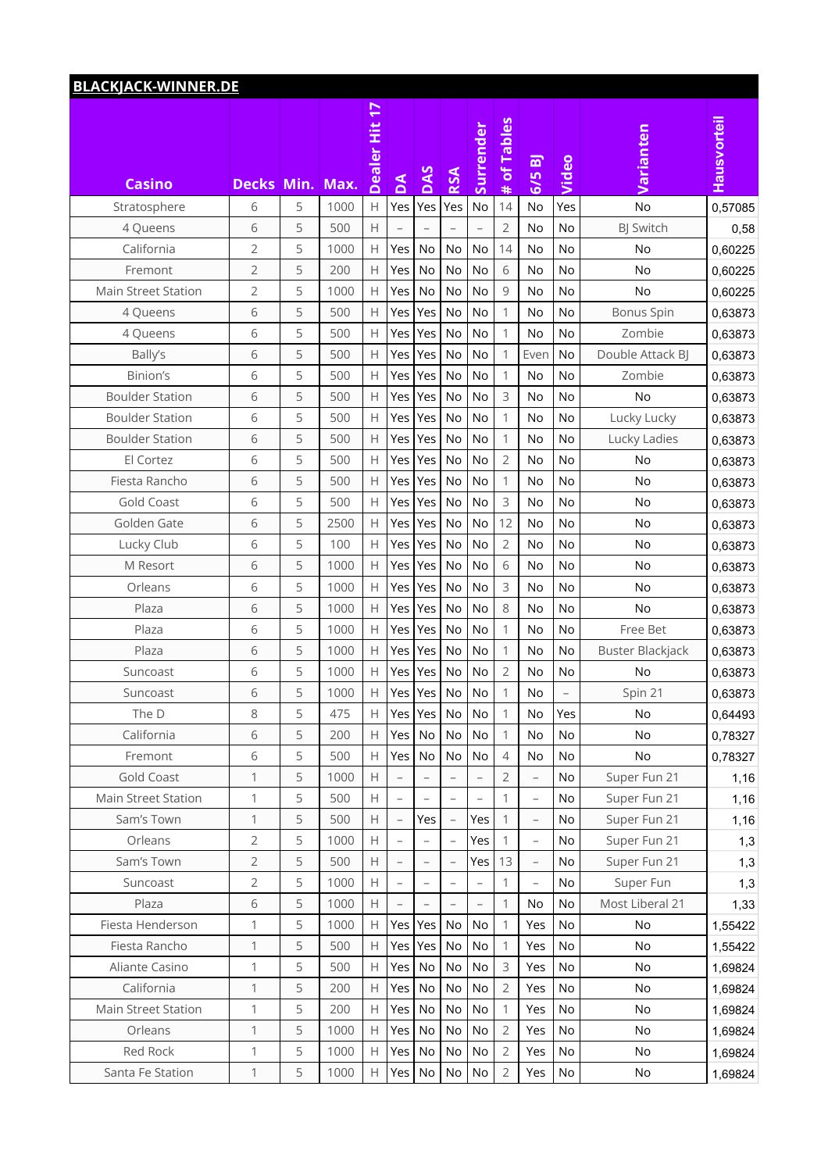| <b>BLACKJACK-WINNER.DE</b> |                |   |      |                                                             |                          |                   |                          |                          |                |                          |                   |                         |             |
|----------------------------|----------------|---|------|-------------------------------------------------------------|--------------------------|-------------------|--------------------------|--------------------------|----------------|--------------------------|-------------------|-------------------------|-------------|
| <b>Casino</b>              | Decks Min.     |   | Max. | Dealer Hit 17                                               | $\mathbf{A}$             | DAS               | <b>RSA</b>               | Surrender                | # of Tables    | 6/5B                     | Video             | Varianten               | Hausvorteil |
| Stratosphere               | 6              | 5 | 1000 | Н                                                           | Yes                      | Yes               | Yes                      | No                       | 14             | No                       | Yes               | <b>No</b>               | 0,57085     |
| 4 Queens                   | 6              | 5 | 500  | $\mathsf{H}$                                                |                          |                   |                          |                          | $\overline{2}$ | No                       | No                | <b>BJ Switch</b>        | 0,58        |
| California                 | 2              | 5 | 1000 | H                                                           | Yes                      | No                | No                       | No                       | 14             | No                       | No                | No                      | 0,60225     |
| Fremont                    | $\overline{2}$ | 5 | 200  | $\mathsf{H}$                                                | Yes                      | No                | No                       | No                       | 6              | No                       | No                | No                      | 0,60225     |
| Main Street Station        | 2              | 5 | 1000 | H                                                           | Yes                      | No                | No                       | No                       | 9              | No                       | No                | No                      | 0,60225     |
| 4 Queens                   | 6              | 5 | 500  | $\mathsf{H}$                                                | Yes                      | Yes               | No                       | No                       | 1              | No                       | No                | <b>Bonus Spin</b>       | 0,63873     |
| 4 Queens                   | 6              | 5 | 500  | H                                                           | Yes                      | Yes               | No                       | No                       | 1              | No                       | No                | Zombie                  | 0,63873     |
| Bally's                    | 6              | 5 | 500  | $\mathsf{H}$                                                | Yes                      | Yes               | No                       | <b>No</b>                | 1              | Even                     | No                | Double Attack BJ        | 0,63873     |
| Binion's                   | 6              | 5 | 500  | $\mathsf{H}$                                                | Yes                      | Yes               | No                       | No                       | 1              | No                       | <b>No</b>         | Zombie                  | 0,63873     |
| <b>Boulder Station</b>     | 6              | 5 | 500  | $\overline{H}$                                              | Yes                      | Yes               | No                       | No                       | 3              | No                       | No                | <b>No</b>               | 0,63873     |
| <b>Boulder Station</b>     | 6              | 5 | 500  | $\mathsf{H}$                                                | Yes                      | Yes               | No                       | No                       | 1              | No                       | No                | Lucky Lucky             | 0,63873     |
| <b>Boulder Station</b>     | 6              | 5 | 500  | $\mathsf{H}$                                                | Yes                      | Yes               | No                       | No                       | 1              | No                       | No                | Lucky Ladies            | 0,63873     |
| El Cortez                  | 6              | 5 | 500  | $\mathsf{H}$                                                | Yes                      | Yes               | No                       | No                       | $\overline{2}$ | No                       | No                | No                      | 0,63873     |
| Fiesta Rancho              | 6              | 5 | 500  | H                                                           | Yes                      | Yes               | No                       | No                       | 1              | No                       | No                | No                      | 0,63873     |
| <b>Gold Coast</b>          | 6              | 5 | 500  | $\mathsf{H}$                                                | Yes                      | Yes               | No                       | No                       | 3              | No                       | No                | No                      | 0,63873     |
| Golden Gate                | 6              | 5 | 2500 | H                                                           | Yes                      | Yes               | No                       | No                       | 12             | No                       | No                | No                      | 0,63873     |
| Lucky Club                 | 6              | 5 | 100  | $\mathsf{H}$                                                | Yes                      | Yes               | No                       | No                       | $\overline{2}$ | No                       | No                | No                      | 0,63873     |
| M Resort                   | 6              | 5 | 1000 | H                                                           | Yes                      | Yes               | No                       | No                       | 6              | No                       | No                | No                      | 0,63873     |
| Orleans                    | 6              | 5 | 1000 | $\mathsf{H}$                                                | Yes                      | Yes               | No                       | No                       | 3              | No                       | No                | <b>No</b>               | 0,63873     |
| Plaza                      | 6              | 5 | 1000 | H                                                           | Yes                      | Yes               | No                       | No                       | 8              | No                       | No                | No                      | 0,63873     |
| Plaza                      | 6              | 5 | 1000 | $\mathsf{H}$                                                | Yes                      | Yes               | No                       | <b>No</b>                | 1              | No                       | No                | Free Bet                | 0,63873     |
| Plaza                      | 6              | 5 | 1000 | $\mathsf{H}$                                                | Yes                      | Yes               | No                       | No                       | 1              | No                       | No                | <b>Buster Blackjack</b> | 0,63873     |
| Suncoast                   | 6              | 5 | 1000 | H                                                           | Yes   Yes                |                   | No                       | No                       | $\overline{2}$ | No                       | No                | No                      | 0,63873     |
| Suncoast                   | 6              | 5 | 1000 | H                                                           | Yes                      | Yes               | No                       | No                       | 1              | No                       | $\qquad \qquad -$ | Spin 21                 | 0,63873     |
| The D                      | 8              | 5 | 475  | Н                                                           |                          | Yes   Yes         | No                       | No                       | 1              | No                       | Yes               | No                      | 0,64493     |
| California                 | 6              | 5 | 200  | $\mathsf{H}% _{\mathbb{R}}^{1}\left( \mathbb{R}^{2}\right)$ | Yes                      | No                | No                       | No                       | 1              | No                       | <b>No</b>         | No                      | 0,78327     |
| Fremont                    | 6              | 5 | 500  | $\overline{H}$                                              | Yes                      | No                | No                       | No                       | $\overline{4}$ | No                       | No                | No                      | 0,78327     |
| <b>Gold Coast</b>          | 1              | 5 | 1000 | $\mathsf{H}% _{\mathbb{R}}^{1}\left( \mathbb{R}^{2}\right)$ | $\equiv$                 |                   | $\overline{a}$           | $\overline{a}$           | $\overline{2}$ | $\overline{a}$           | No                | Super Fun 21            | 1,16        |
| Main Street Station        | 1              | 5 | 500  | H                                                           | $\overline{\phantom{0}}$ |                   |                          | $\qquad \qquad -$        | 1              | $\overline{\phantom{0}}$ | No                | Super Fun 21            | 1,16        |
| Sam's Town                 | 1              | 5 | 500  | $\mathsf{H}% _{\mathbb{R}}^{1}\left( \mathbb{R}^{2}\right)$ |                          | Yes               |                          | Yes                      | 1              | $\overline{a}$           | No                | Super Fun 21            | 1,16        |
| Orleans                    | 2              | 5 | 1000 | H                                                           |                          |                   | $\overline{\phantom{0}}$ | Yes                      | 1              | $\overline{\phantom{0}}$ | No                | Super Fun 21            | 1,3         |
| Sam's Town                 | 2              | 5 | 500  | $\mathsf{H}% _{\mathbb{R}}^{1}\left( \mathbb{R}^{2}\right)$ | $\overline{\phantom{0}}$ |                   | $\overline{\phantom{0}}$ | Yes                      | 13             | $\overline{\phantom{0}}$ | No                | Super Fun 21            | 1,3         |
| Suncoast                   | 2              | 5 | 1000 | H                                                           | $\overline{\phantom{0}}$ | $\qquad \qquad -$ | $\overline{\phantom{0}}$ | $\overline{\phantom{0}}$ | 1              | $\overline{a}$           | No                | Super Fun               | 1,3         |
| Plaza                      | 6              | 5 | 1000 | $\mathsf{H}% _{\mathbb{R}}^{1}\left( \mathbb{R}^{2}\right)$ |                          |                   |                          |                          | $\mathbf{1}$   | No                       | No                | Most Liberal 21         | 1,33        |
| Fiesta Henderson           | 1              | 5 | 1000 | H.                                                          |                          | Yes   Yes         | No                       | No                       | 1              | Yes                      | No                | No                      | 1,55422     |
| Fiesta Rancho              | 1              | 5 | 500  | $\mathsf{H}% _{\mathbb{R}}^{1}\left( \mathbb{R}^{2}\right)$ | Yes Yes                  |                   | No                       | No                       | 1              | Yes                      | No                | No                      | 1,55422     |
| Aliante Casino             | 1              | 5 | 500  | Н                                                           | Yes                      | No                | No                       | No                       | 3              | Yes                      | No                | No                      | 1,69824     |
| California                 | 1              | 5 | 200  | $\mathsf{H}% _{\mathbb{R}}^{1}\left( \mathbb{R}^{2}\right)$ | Yes                      | No                | No                       | No                       | $\overline{2}$ | Yes                      | No                | No                      | 1,69824     |
| <b>Main Street Station</b> | 1              | 5 | 200  | Н                                                           | Yes                      | No                | No                       | No                       | 1              | Yes                      | No                | No                      | 1,69824     |
| Orleans                    | 1              | 5 | 1000 | H                                                           | Yes                      | No                | No                       | No                       | $\overline{2}$ | Yes                      | No                | No                      | 1,69824     |
| Red Rock                   | 1              | 5 | 1000 | H                                                           | Yes                      | No                | No                       | No                       | $\overline{2}$ | Yes                      | No                | No                      | 1,69824     |
| Santa Fe Station           | $\mathbf 1$    | 5 | 1000 | $\mathsf{H}% _{\mathbb{R}}^{1}\left( \mathbb{R}^{2}\right)$ | Yes                      | No                | No                       | No                       | $\overline{2}$ | Yes                      | No                | No                      | 1,69824     |